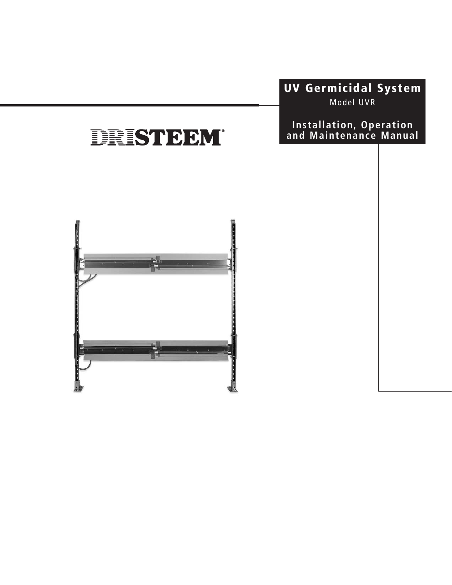# **UV Germicidal System**

Model UVR

### **Installation, Operation and Maintenance Manual**

# DRISTEEM®

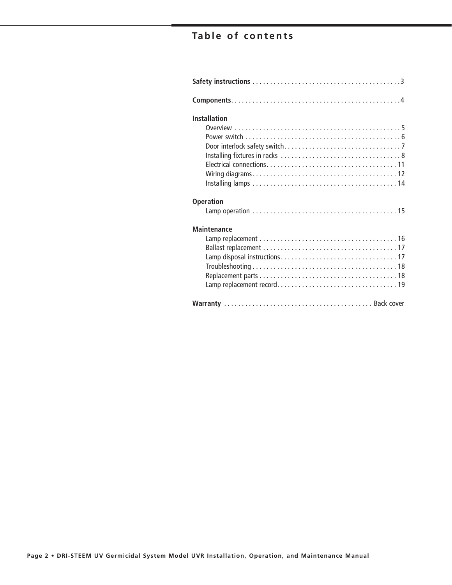# **Table of contents**

| <b>Installation</b> |
|---------------------|
|                     |
|                     |
|                     |
|                     |
|                     |
| <b>Operation</b>    |
|                     |
| <b>Maintenance</b>  |
|                     |
|                     |
|                     |
|                     |
|                     |
|                     |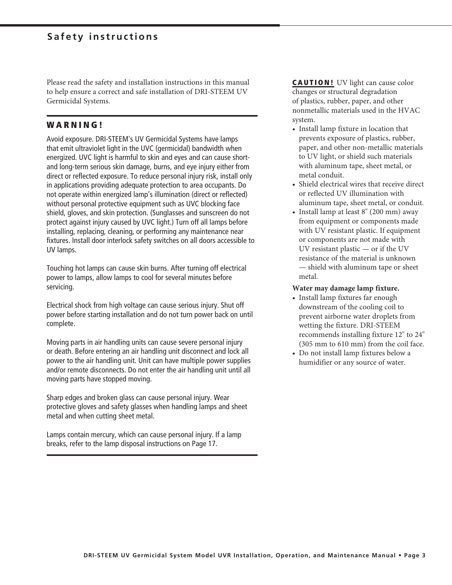Please read the safety and installation instructions in this manual to help ensure a correct and safe installation of DRI-STEEM UV Germicidal Systems.

### **W A R N I N G !**

Avoid exposure. DRI-STEEM's UV Germicidal Systems have lamps that emit ultraviolet light in the UVC (germicidal) bandwidth when energized. UVC light is harmful to skin and eyes and can cause shortand long-term serious skin damage, burns, and eye injury either from direct or reflected exposure. To reduce personal injury risk, install only in applications providing adequate protection to area occupants. Do not operate within energized lamp's illumination (direct or reflected) without personal protective equipment such as UVC blocking face shield, gloves, and skin protection. (Sunglasses and sunscreen do not protect against injury caused by UVC light.) Turn off all lamps before installing, replacing, cleaning, or performing any maintenance near fixtures. Install door interlock safety switches on all doors accessible to UV lamps.

Touching hot lamps can cause skin burns. After turning off electrical power to lamps, allow lamps to cool for several minutes before servicing.

Electrical shock from high voltage can cause serious injury. Shut off power before starting installation and do not turn power back on until complete.

Moving parts in air handling units can cause severe personal injury or death. Before entering an air handling unit disconnect and lock all power to the air handling unit. Unit can have multiple power supplies and/or remote disconnects. Do not enter the air handling unit until all moving parts have stopped moving.

Sharp edges and broken glass can cause personal injury. Wear protective gloves and safety glasses when handling lamps and sheet metal and when cutting sheet metal.

Lamps contain mercury, which can cause personal injury. If a lamp breaks, refer to the lamp disposal instructions on Page 17.

**CAUTION!** UV light can cause color changes or structural degradation of plastics, rubber, paper, and other nonmetallic materials used in the HVAC system.

- Install lamp fixture in location that prevents exposure of plastics, rubber, paper, and other non-metallic materials to UV light, or shield such materials with aluminum tape, sheet metal, or metal conduit.
- Shield electrical wires that receive direct or reflected UV illumination with aluminum tape, sheet metal, or conduit.
- Install lamp at least 8" (200 mm) away from equipment or components made with UV resistant plastic. If equipment or components are not made with UV resistant plastic — or if the UV resistance of the material is unknown — shield with aluminum tape or sheet metal.

### **Water may damage lamp fixture.**

- Install lamp fixtures far enough downstream of the cooling coil to prevent airborne water droplets from wetting the fixture. DRI-STEEM recommends installing fixture 12" to 24" (305 mm to 610 mm) from the coil face.
- Do not install lamp fixtures below a humidifier or any source of water.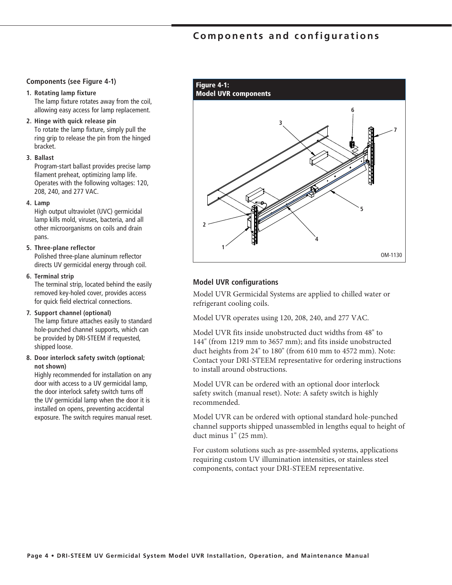### **Components and configurations**

#### **Components (see Figure 4-1)**

#### **1. Rotating lamp fixture**

 The lamp fixture rotates away from the coil, allowing easy access for lamp replacement.

#### **2. Hinge with quick release pin**

 To rotate the lamp fixture, simply pull the ring grip to release the pin from the hinged bracket.

#### **3. Ballast**

 Program-start ballast provides precise lamp filament preheat, optimizing lamp life. Operates with the following voltages: 120, 208, 240, and 277 VAC.

#### **4. Lamp**

 High output ultraviolet (UVC) germicidal lamp kills mold, viruses, bacteria, and all other microorganisms on coils and drain pans.

#### **5. Three-plane reflector**

 Polished three-plane aluminum reflector directs UV germicidal energy through coil.

#### **6. Terminal strip**

 The terminal strip, located behind the easily removed key-holed cover, provides access for quick field electrical connections.

#### **7. Support channel (optional)**

 The lamp fixture attaches easily to standard hole-punched channel supports, which can be provided by DRI-STEEM if requested, shipped loose.

### **8. Door interlock safety switch (optional; not shown)**

 Highly recommended for installation on any door with access to a UV germicidal lamp, the door interlock safety switch turns off the UV germicidal lamp when the door it is installed on opens, preventing accidental exposure. The switch requires manual reset.



### **Model UVR configurations**

Model UVR Germicidal Systems are applied to chilled water or refrigerant cooling coils.

Model UVR operates using 120, 208, 240, and 277 VAC.

Model UVR fits inside unobstructed duct widths from 48" to 144" (from 1219 mm to 3657 mm); and fits inside unobstructed duct heights from 24" to 180" (from 610 mm to 4572 mm). Note: Contact your DRI-STEEM representative for ordering instructions to install around obstructions.

Model UVR can be ordered with an optional door interlock safety switch (manual reset). Note: A safety switch is highly recommended.

Model UVR can be ordered with optional standard hole-punched channel supports shipped unassembled in lengths equal to height of duct minus 1" (25 mm).

For custom solutions such as pre-assembled systems, applications requiring custom UV illumination intensities, or stainless steel components, contact your DRI-STEEM representative.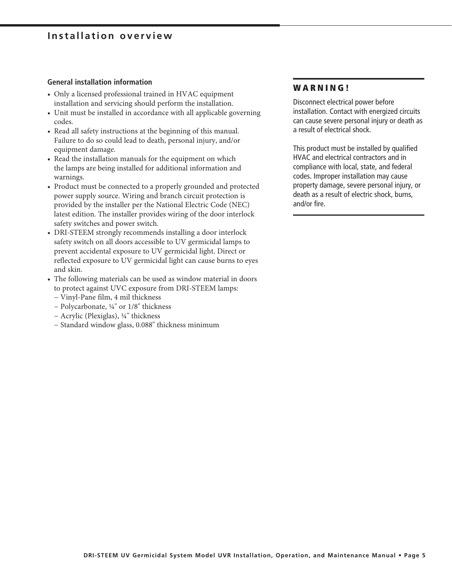### **Installation overview**

#### **General installation information**

- Only a licensed professional trained in HVAC equipment installation and servicing should perform the installation.
- Unit must be installed in accordance with all applicable governing codes.
- Read all safety instructions at the beginning of this manual. Failure to do so could lead to death, personal injury, and/or equipment damage.
- Read the installation manuals for the equipment on which the lamps are being installed for additional information and warnings.
- Product must be connected to a properly grounded and protected power supply source. Wiring and branch circuit protection is provided by the installer per the National Electric Code (NEC) latest edition. The installer provides wiring of the door interlock safety switches and power switch.
- DRI-STEEM strongly recommends installing a door interlock safety switch on all doors accessible to UV germicidal lamps to prevent accidental exposure to UV germicidal light. Direct or reflected exposure to UV germicidal light can cause burns to eyes and skin.
- The following materials can be used as window material in doors to protect against UVC exposure from DRI-STEEM lamps:
	- − Vinyl-Pane film, 4 mil thickness
	- − Polycarbonate, ¼" or 1/8" thickness
	- − Acrylic (Plexiglas), ¼" thickness
	- − Standard window glass, 0.088" thickness minimum

### **W A R N I N G !**

Disconnect electrical power before installation. Contact with energized circuits can cause severe personal injury or death as a result of electrical shock.

This product must be installed by qualified HVAC and electrical contractors and in compliance with local, state, and federal codes. Improper installation may cause property damage, severe personal injury, or death as a result of electric shock, burns, and/or fire.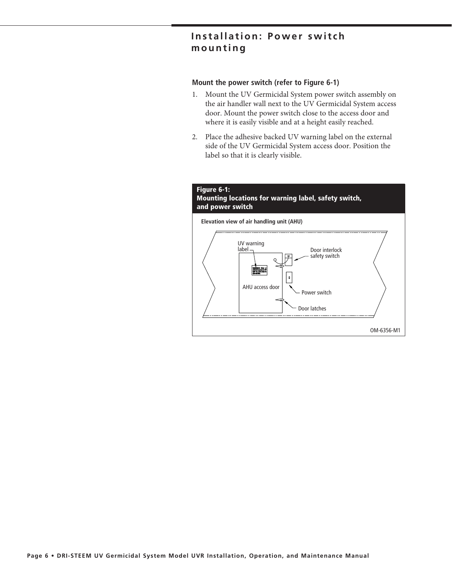### **Installation: Power switch mounting**

### **Mount the power switch (refer to Figure 6-1)**

- 1. Mount the UV Germicidal System power switch assembly on the air handler wall next to the UV Germicidal System access door. Mount the power switch close to the access door and where it is easily visible and at a height easily reached.
- 2. Place the adhesive backed UV warning label on the external side of the UV Germicidal System access door. Position the label so that it is clearly visible.

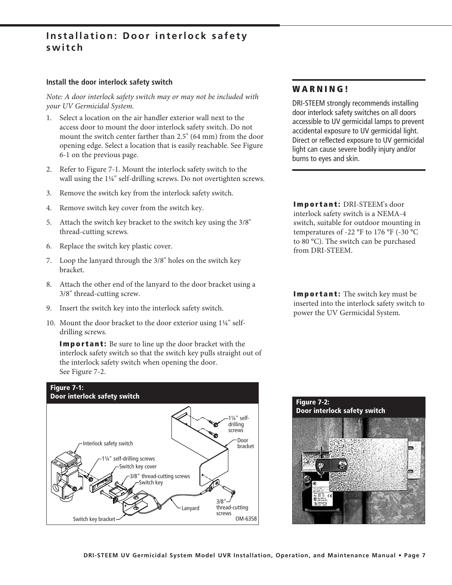### **Installation: Door interlock safety switch**

### **Install the door interlock safety switch**

*Note: A door interlock safety switch may or may not be included with your UV Germicidal System.*

- 1. Select a location on the air handler exterior wall next to the access door to mount the door interlock safety switch. Do not mount the switch center farther than 2.5" (64 mm) from the door opening edge. Select a location that is easily reachable. See Figure 6-1 on the previous page.
- 2. Refer to Figure 7-1. Mount the interlock safety switch to the wall using the 1¼" self-drilling screws. Do not overtighten screws.
- 3. Remove the switch key from the interlock safety switch.
- 4. Remove switch key cover from the switch key.
- 5. Attach the switch key bracket to the switch key using the 3/8" thread-cutting screws.
- 6. Replace the switch key plastic cover.
- 7. Loop the lanyard through the 3/8" holes on the switch key bracket.
- 8. Attach the other end of the lanyard to the door bracket using a 3/8" thread-cutting screw.
- 9. Insert the switch key into the interlock safety switch.
- 10. Mount the door bracket to the door exterior using 1¼" selfdrilling screws.

**Important:** Be sure to line up the door bracket with the interlock safety switch so that the switch key pulls straight out of the interlock safety switch when opening the door. See Figure 7-2.



### **W A R N I N G !**

DRI-STEEM strongly recommends installing door interlock safety switches on all doors accessible to UV germicidal lamps to prevent accidental exposure to UV germicidal light. Direct or reflected exposure to UV germicidal light can cause severe bodily injury and/or burns to eyes and skin.

**Important:** DRI-STEEM's door interlock safety switch is a NEMA-4 switch, suitable for outdoor mounting in temperatures of -22 °F to 176 °F (-30 °C to 80 °C). The switch can be purchased from DRI-STEEM.

**Important:** The switch key must be inserted into the interlock safety switch to power the UV Germicidal System.

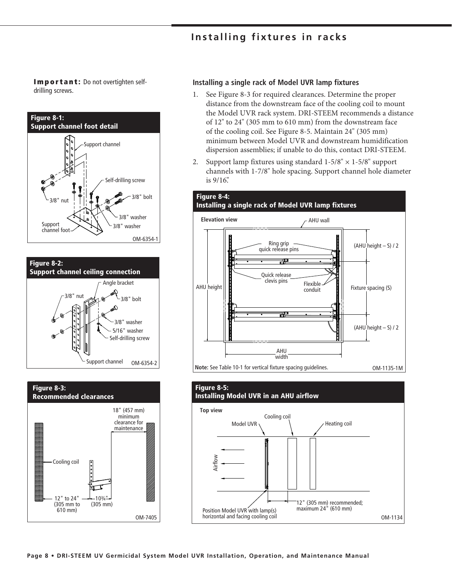### **Installing fixtures in racks**

**Important:** Do not overtighten selfdrilling screws.







#### **Installing a single rack of Model UVR lamp fixtures**

- 1. See Figure 8-3 for required clearances. Determine the proper distance from the downstream face of the cooling coil to mount the Model UVR rack system. DRI-STEEM recommends a distance of 12" to 24" (305 mm to 610 mm) from the downstream face of the cooling coil. See Figure 8-5. Maintain 24" (305 mm) minimum between Model UVR and downstream humidification dispersion assemblies; if unable to do this, contact DRI-STEEM.
- 2. Support lamp fixtures using standard  $1-5/8" \times 1-5/8"$  support channels with 1-7/8" hole spacing. Support channel hole diameter is 9/16".



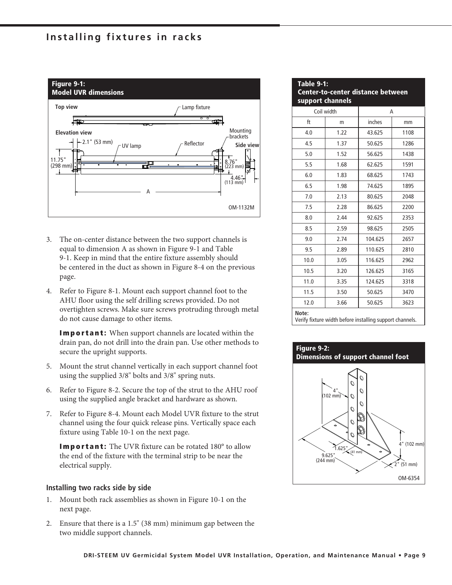### **Installing fixtures in racks**



- 3. The on-center distance between the two support channels is equal to dimension A as shown in Figure 9-1 and Table 9-1. Keep in mind that the entire fixture assembly should be centered in the duct as shown in Figure 8-4 on the previous page.
- 4. Refer to Figure 8-1. Mount each support channel foot to the AHU floor using the self drilling screws provided. Do not overtighten screws. Make sure screws protruding through metal do not cause damage to other items.

**Important:** When support channels are located within the drain pan, do not drill into the drain pan. Use other methods to secure the upright supports.

- 5. Mount the strut channel vertically in each support channel foot using the supplied 3/8" bolts and 3/8" spring nuts.
- 6. Refer to Figure 8-2. Secure the top of the strut to the AHU roof using the supplied angle bracket and hardware as shown.
- 7. Refer to Figure 8-4. Mount each Model UVR fixture to the strut channel using the four quick release pins. Vertically space each fixture using Table 10-1 on the next page.

**Important:** The UVR fixture can be rotated 180° to allow the end of the fixture with the terminal strip to be near the electrical supply.

### **Installing two racks side by side**

- 1. Mount both rack assemblies as shown in Figure 10-1 on the next page.
- 2. Ensure that there is a 1.5" (38 mm) minimum gap between the two middle support channels.

| <b>Table 9-1:</b><br><b>Center-to-center distance between</b><br>support channels |            |         |      |
|-----------------------------------------------------------------------------------|------------|---------|------|
|                                                                                   | Coil width | A       |      |
| ft                                                                                | m          | inches  | mm   |
| 4.0                                                                               | 1.22       | 43.625  | 1108 |
| 4.5                                                                               | 1.37       | 50.625  | 1286 |
| 5.0                                                                               | 1.52       | 56.625  | 1438 |
| 5.5                                                                               | 1.68       | 62.625  | 1591 |
| 6.0                                                                               | 1.83       | 68.625  | 1743 |
| 6.5                                                                               | 1.98       | 74.625  | 1895 |
| 7.0                                                                               | 2.13       | 80.625  | 2048 |
| 7.5                                                                               | 2.28       | 86.625  | 2200 |
| 8.0                                                                               | 2.44       | 92.625  | 2353 |
| 8.5                                                                               | 2.59       | 98.625  | 2505 |
| 9.0                                                                               | 2.74       | 104.625 | 2657 |
| 9.5                                                                               | 2.89       | 110.625 | 2810 |
| 10.0                                                                              | 3.05       | 116.625 | 2962 |
| 10.5                                                                              | 3.20       | 126.625 | 3165 |
| 11.0                                                                              | 3.35       | 124.625 | 3318 |
| 11.5                                                                              | 3.50       | 50.625  | 3470 |
| 12.0                                                                              | 3.66       | 50.625  | 3623 |
| Note:<br>Verify fixture width before installing support channels.                 |            |         |      |

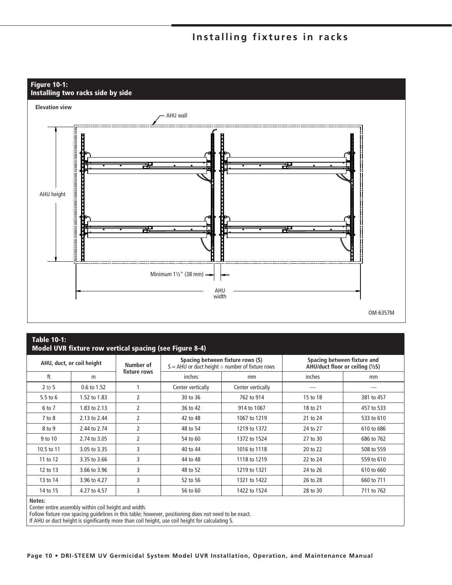### **Installing fixtures in racks**



### **Table 10-1: Model UVR fixture row vertical spacing (see Figure 8-4)**

| AHU, duct, or coil height |              | Number of    | Spacing between fixture rows (S)<br>$S = AHU$ or duct height $\div$ number of fixture rows |                   | Spacing between fixture and<br>AHU/duct floor or ceiling (1/2S) |            |
|---------------------------|--------------|--------------|--------------------------------------------------------------------------------------------|-------------------|-----------------------------------------------------------------|------------|
| ft                        | m            | fixture rows | inches                                                                                     | mm                | inches                                                          | mm         |
| 2 to 5                    | 0.6 to 1.52  |              | Center vertically                                                                          | Center vertically |                                                                 |            |
| 5.5 to $6$                | 1.52 to 1.83 | 2            | 30 to 36                                                                                   | 762 to 914        | 15 to 18                                                        | 381 to 457 |
| 6 to 7                    | 1.83 to 2.13 | 2            | 36 to 42                                                                                   | 914 to 1067       | 18 to 21                                                        | 457 to 533 |
| $7$ to $8$                | 2.13 to 2.44 | 2            | 42 to 48                                                                                   | 1067 to 1219      | 21 to 24                                                        | 533 to 610 |
| 8 to 9                    | 2.44 to 2.74 | 2            | 48 to 54                                                                                   | 1219 to 1372      | 24 to 27                                                        | 610 to 686 |
| 9 to 10                   | 2.74 to 3.05 | 2            | 54 to 60                                                                                   | 1372 to 1524      | 27 to 30                                                        | 686 to 762 |
| 10.5 to 11                | 3.05 to 3.35 | 3            | 40 to 44                                                                                   | 1016 to 1118      | 20 to 22                                                        | 508 to 559 |
| 11 to 12                  | 3.35 to 3.66 | 3            | 44 to 48                                                                                   | 1118 to 1219      | 22 to 24                                                        | 559 to 610 |
| 12 to 13                  | 3.66 to 3.96 | 3            | 48 to 52                                                                                   | 1219 to 1321      | 24 to 26                                                        | 610 to 660 |
| 13 to 14                  | 3.96 to 4.27 | 3            | 52 to 56                                                                                   | 1321 to 1422      | 26 to 28                                                        | 660 to 711 |
| 14 to 15                  | 4.27 to 4.57 | 3            | 56 to 60                                                                                   | 1422 to 1524      | 28 to 30                                                        | 711 to 762 |

#### **Notes:**

Center entire assembly within coil height and width.

Follow fixture row spacing guidelines in this table; however, positioning does not need to be exact.

If AHU or duct height is significantly more than coil height, use coil height for calculating S.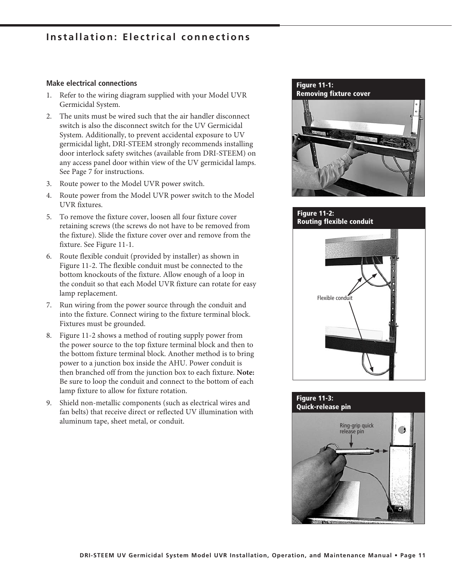### **Installation: Electrical connections**

### **Make electrical connections**

- 1. Refer to the wiring diagram supplied with your Model UVR Germicidal System.
- 2. The units must be wired such that the air handler disconnect switch is also the disconnect switch for the UV Germicidal System. Additionally, to prevent accidental exposure to UV germicidal light, DRI-STEEM strongly recommends installing door interlock safety switches (available from DRI-STEEM) on any access panel door within view of the UV germicidal lamps. See Page 7 for instructions.
- 3. Route power to the Model UVR power switch.
- 4. Route power from the Model UVR power switch to the Model UVR fixtures.
- 5. To remove the fixture cover, loosen all four fixture cover retaining screws (the screws do not have to be removed from the fixture). Slide the fixture cover over and remove from the fixture. See Figure 11-1.
- 6. Route flexible conduit (provided by installer) as shown in Figure 11-2. The flexible conduit must be connected to the bottom knockouts of the fixture. Allow enough of a loop in the conduit so that each Model UVR fixture can rotate for easy lamp replacement.
- 7. Run wiring from the power source through the conduit and into the fixture. Connect wiring to the fixture terminal block. Fixtures must be grounded.
- 8. Figure 11-2 shows a method of routing supply power from the power source to the top fixture terminal block and then to the bottom fixture terminal block. Another method is to bring power to a junction box inside the AHU. Power conduit is then branched off from the junction box to each fixture. **Note:** Be sure to loop the conduit and connect to the bottom of each lamp fixture to allow for fixture rotation.
- 9. Shield non-metallic components (such as electrical wires and fan belts) that receive direct or reflected UV illumination with aluminum tape, sheet metal, or conduit.

### **Figure 11-1: Removing fixture cover**



### **Figure 11-2: Routing flexible conduit**



### **Figure 11-3: Quick-release pin**

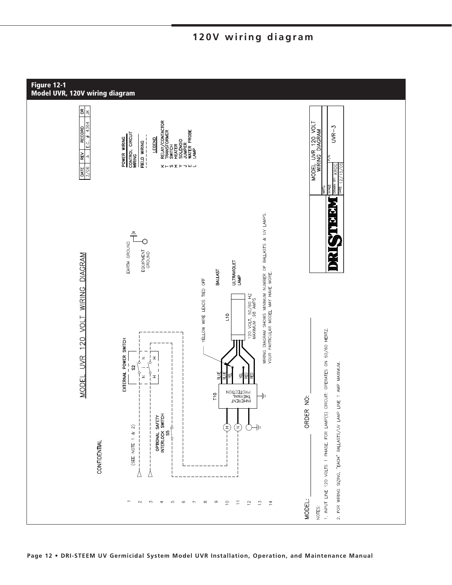

### **120V wiring diagram**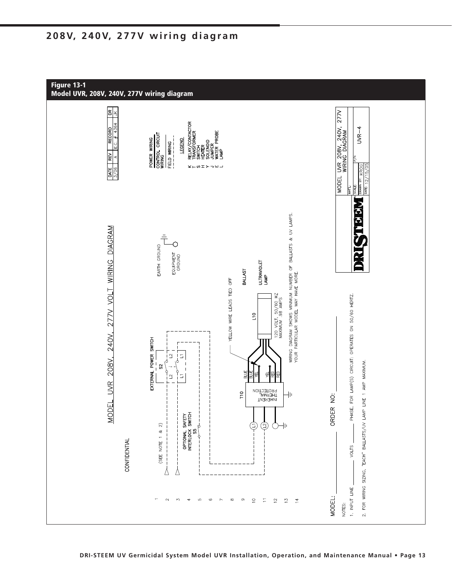### **208V, 240V, 277V wiring diagram**

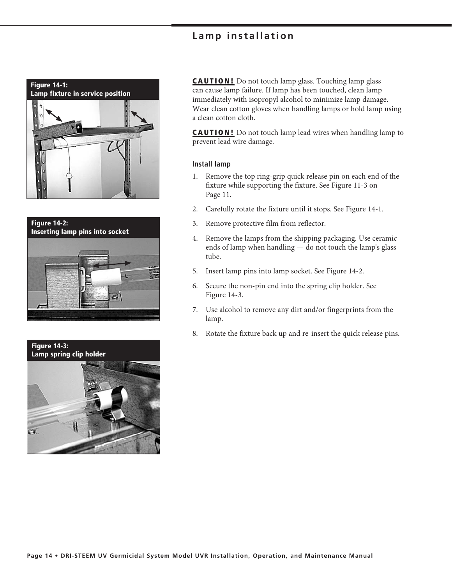### **Lamp installation**







**CAUTION!** Do not touch lamp glass. Touching lamp glass can cause lamp failure. If lamp has been touched, clean lamp immediately with isopropyl alcohol to minimize lamp damage. Wear clean cotton gloves when handling lamps or hold lamp using a clean cotton cloth.

**CAUTION!** Do not touch lamp lead wires when handling lamp to prevent lead wire damage.

#### **Install lamp**

- 1. Remove the top ring-grip quick release pin on each end of the fixture while supporting the fixture. See Figure 11-3 on Page 11.
- 2. Carefully rotate the fixture until it stops. See Figure 14-1.
- 3. Remove protective film from reflector.
- 4. Remove the lamps from the shipping packaging. Use ceramic ends of lamp when handling — do not touch the lamp's glass tube.
- 5. Insert lamp pins into lamp socket. See Figure 14-2.
- 6. Secure the non-pin end into the spring clip holder. See Figure 14-3.
- 7. Use alcohol to remove any dirt and/or fingerprints from the lamp.
- 8. Rotate the fixture back up and re-insert the quick release pins.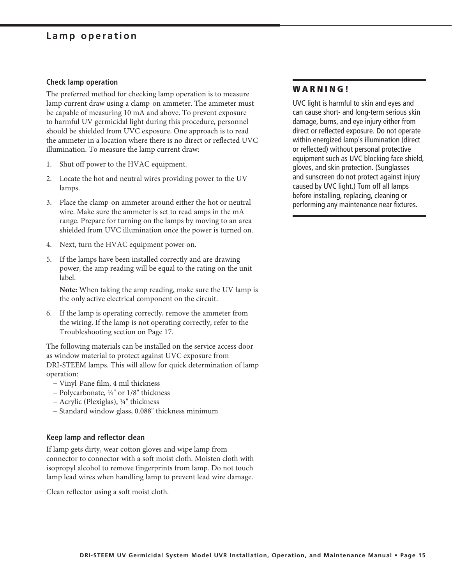### **Lamp operation**

#### **Check lamp operation**

The preferred method for checking lamp operation is to measure lamp current draw using a clamp-on ammeter. The ammeter must be capable of measuring 10 mA and above. To prevent exposure to harmful UV germicidal light during this procedure, personnel should be shielded from UVC exposure. One approach is to read the ammeter in a location where there is no direct or reflected UVC illumination. To measure the lamp current draw:

- 1. Shut off power to the HVAC equipment.
- 2. Locate the hot and neutral wires providing power to the UV lamps.
- 3. Place the clamp-on ammeter around either the hot or neutral wire. Make sure the ammeter is set to read amps in the mA range. Prepare for turning on the lamps by moving to an area shielded from UVC illumination once the power is turned on.
- 4. Next, turn the HVAC equipment power on.
- 5. If the lamps have been installed correctly and are drawing power, the amp reading will be equal to the rating on the unit label.

**Note:** When taking the amp reading, make sure the UV lamp is the only active electrical component on the circuit.

6. If the lamp is operating correctly, remove the ammeter from the wiring. If the lamp is not operating correctly, refer to the Troubleshooting section on Page 17.

The following materials can be installed on the service access door as window material to protect against UVC exposure from DRI-STEEM lamps. This will allow for quick determination of lamp operation:

- − Vinyl-Pane film, 4 mil thickness
- − Polycarbonate, ¼" or 1/8" thickness
- − Acrylic (Plexiglas), ¼" thickness
- − Standard window glass, 0.088" thickness minimum

### **Keep lamp and reflector clean**

If lamp gets dirty, wear cotton gloves and wipe lamp from connector to connector with a soft moist cloth. Moisten cloth with isopropyl alcohol to remove fingerprints from lamp. Do not touch lamp lead wires when handling lamp to prevent lead wire damage.

Clean reflector using a soft moist cloth.

### **W A R N I N G !**

UVC light is harmful to skin and eyes and can cause short- and long-term serious skin damage, burns, and eye injury either from direct or reflected exposure. Do not operate within energized lamp's illumination (direct or reflected) without personal protective equipment such as UVC blocking face shield, gloves, and skin protection. (Sunglasses and sunscreen do not protect against injury caused by UVC light.) Turn off all lamps before installing, replacing, cleaning or performing any maintenance near fixtures.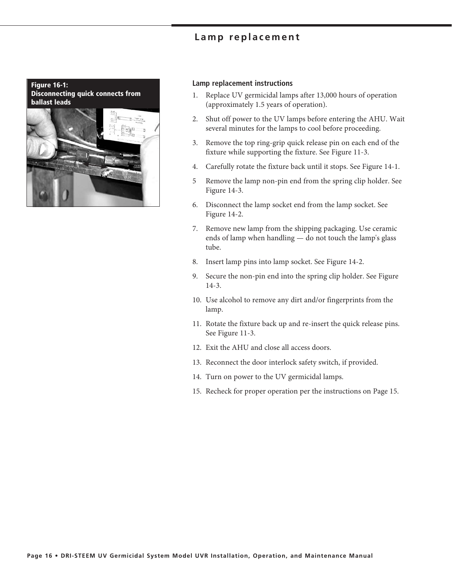### **Lamp replacement**

**Figure 16-1: Disconnecting quick connects from ballast leads**



#### **Lamp replacement instructions**

- 1. Replace UV germicidal lamps after 13,000 hours of operation (approximately 1.5 years of operation).
- 2. Shut off power to the UV lamps before entering the AHU. Wait several minutes for the lamps to cool before proceeding.
- 3. Remove the top ring-grip quick release pin on each end of the fixture while supporting the fixture. See Figure 11-3.
- 4. Carefully rotate the fixture back until it stops. See Figure 14-1.
- 5 Remove the lamp non-pin end from the spring clip holder. See Figure 14-3.
- 6. Disconnect the lamp socket end from the lamp socket. See Figure 14-2.
- 7. Remove new lamp from the shipping packaging. Use ceramic ends of lamp when handling — do not touch the lamp's glass tube.
- 8. Insert lamp pins into lamp socket. See Figure 14-2.
- 9. Secure the non-pin end into the spring clip holder. See Figure 14-3.
- 10. Use alcohol to remove any dirt and/or fingerprints from the lamp.
- 11. Rotate the fixture back up and re-insert the quick release pins. See Figure 11-3.
- 12. Exit the AHU and close all access doors.
- 13. Reconnect the door interlock safety switch, if provided.
- 14. Turn on power to the UV germicidal lamps.
- 15. Recheck for proper operation per the instructions on Page 15.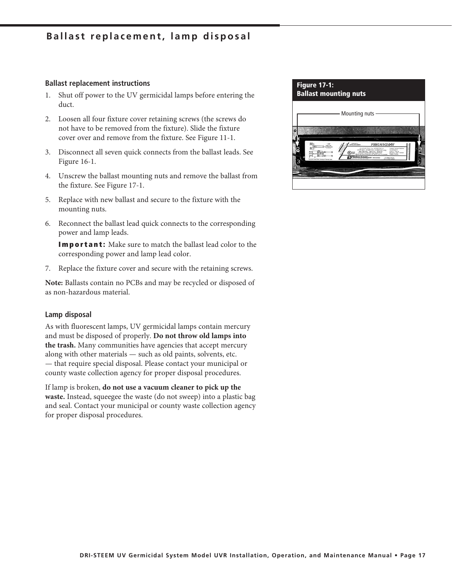### **Ballast replacement, lamp disposal**

#### **Ballast replacement instructions**

- 1. Shut off power to the UV germicidal lamps before entering the duct.
- 2. Loosen all four fixture cover retaining screws (the screws do not have to be removed from the fixture). Slide the fixture cover over and remove from the fixture. See Figure 11-1.
- 3. Disconnect all seven quick connects from the ballast leads. See Figure 16-1.
- 4. Unscrew the ballast mounting nuts and remove the ballast from the fixture. See Figure 17-1.
- 5. Replace with new ballast and secure to the fixture with the mounting nuts.
- 6. Reconnect the ballast lead quick connects to the corresponding power and lamp leads.

**Important:** Make sure to match the ballast lead color to the corresponding power and lamp lead color.

7. Replace the fixture cover and secure with the retaining screws.

**Note:** Ballasts contain no PCBs and may be recycled or disposed of as non-hazardous material.

#### **Lamp disposal**

As with fluorescent lamps, UV germicidal lamps contain mercury and must be disposed of properly. **Do not throw old lamps into the trash.** Many communities have agencies that accept mercury along with other materials — such as old paints, solvents, etc. — that require special disposal. Please contact your municipal or county waste collection agency for proper disposal procedures.

If lamp is broken, **do not use a vacuum cleaner to pick up the waste.** Instead, squeegee the waste (do not sweep) into a plastic bag and seal. Contact your municipal or county waste collection agency for proper disposal procedures.

| <b>Figure 17-1:</b><br><b>Ballast mounting nuts</b> |                                                                                                                                                                                                                                                                                                                                                                                                                                                              |
|-----------------------------------------------------|--------------------------------------------------------------------------------------------------------------------------------------------------------------------------------------------------------------------------------------------------------------------------------------------------------------------------------------------------------------------------------------------------------------------------------------------------------------|
|                                                     | Mounting nuts                                                                                                                                                                                                                                                                                                                                                                                                                                                |
|                                                     |                                                                                                                                                                                                                                                                                                                                                                                                                                                              |
| as finisc forests a frances are                     | <b><i>SIGN THAT S</i></b><br><b>PSB165G5MV</b><br><b>Callis, COLAUGEAN</b><br>In Great Park) The Great Part is<br><b>Stranged Training Project</b><br>SCRAWTS GENERATING CENTRETARY CAN<br><b>Sound Stated &amp;</b><br><b>Steel F. Special</b><br>MAINBOX West MAINTEN SERIES<br><b>MITTLE FOR FORM</b><br>achieve Philadell Bust - Inglishera Factor<br>Farent Foreira<br>a 144 November 2411 E Toda M Due 14<br>statements in the sales<br>1-5-11-ME 6-10 |
|                                                     |                                                                                                                                                                                                                                                                                                                                                                                                                                                              |
|                                                     |                                                                                                                                                                                                                                                                                                                                                                                                                                                              |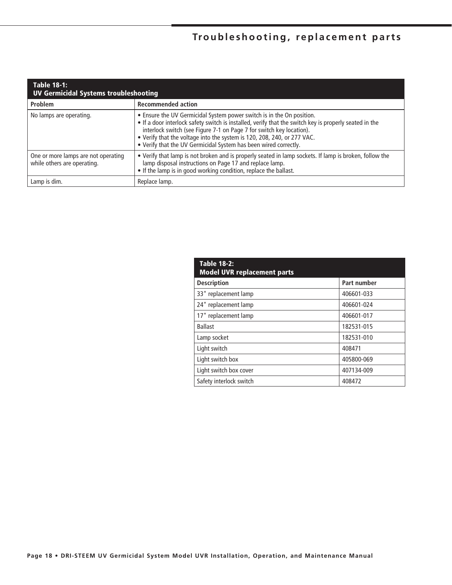## **Troubleshooting, replacement parts**

| <b>Table 18-1:</b><br><b>UV Germicidal Systems troubleshooting</b> |                                                                                                                                                                                                                                                                                                                                                                                                        |  |  |  |
|--------------------------------------------------------------------|--------------------------------------------------------------------------------------------------------------------------------------------------------------------------------------------------------------------------------------------------------------------------------------------------------------------------------------------------------------------------------------------------------|--|--|--|
| Problem                                                            | <b>Recommended action</b>                                                                                                                                                                                                                                                                                                                                                                              |  |  |  |
| No lamps are operating.                                            | • Ensure the UV Germicidal System power switch is in the On position.<br>• If a door interlock safety switch is installed, verify that the switch key is properly seated in the<br>interlock switch (see Figure 7-1 on Page 7 for switch key location).<br>. Verify that the voltage into the system is 120, 208, 240, or 277 VAC.<br>. Verify that the UV Germicidal System has been wired correctly. |  |  |  |
| One or more lamps are not operating<br>while others are operating. | • Verify that lamp is not broken and is properly seated in lamp sockets. If lamp is broken, follow the<br>lamp disposal instructions on Page 17 and replace lamp.<br>• If the lamp is in good working condition, replace the ballast.                                                                                                                                                                  |  |  |  |
| Lamp is dim.                                                       | Replace lamp.                                                                                                                                                                                                                                                                                                                                                                                          |  |  |  |

| <b>Table 18-2:</b><br><b>Model UVR replacement parts</b> |             |  |  |
|----------------------------------------------------------|-------------|--|--|
| <b>Description</b>                                       | Part number |  |  |
| 33" replacement lamp                                     | 406601-033  |  |  |
| 24" replacement lamp                                     | 406601-024  |  |  |
| 17" replacement lamp                                     | 406601-017  |  |  |
| <b>Ballast</b>                                           | 182531-015  |  |  |
| Lamp socket                                              | 182531-010  |  |  |
| Light switch                                             | 408471      |  |  |
| Light switch box                                         | 405800-069  |  |  |
| Light switch box cover                                   | 407134-009  |  |  |
| Safety interlock switch                                  | 408472      |  |  |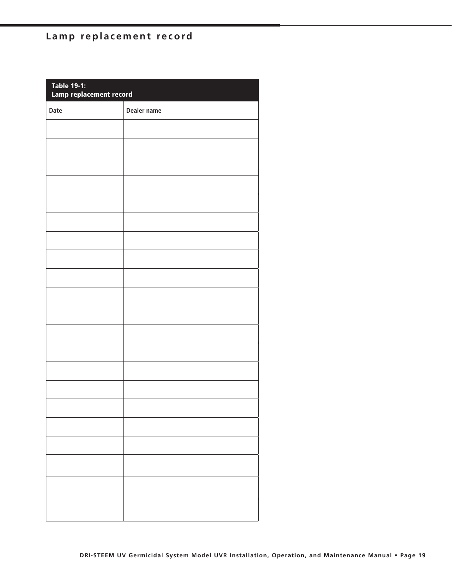## **Lamp replacement record**

| Table 19-1:<br>Lamp replacement record |                    |  |
|----------------------------------------|--------------------|--|
| Date                                   | <b>Dealer name</b> |  |
|                                        |                    |  |
|                                        |                    |  |
|                                        |                    |  |
|                                        |                    |  |
|                                        |                    |  |
|                                        |                    |  |
|                                        |                    |  |
|                                        |                    |  |
|                                        |                    |  |
|                                        |                    |  |
|                                        |                    |  |
|                                        |                    |  |
|                                        |                    |  |
|                                        |                    |  |
|                                        |                    |  |
|                                        |                    |  |
|                                        |                    |  |
|                                        |                    |  |
|                                        |                    |  |
|                                        |                    |  |
|                                        |                    |  |
|                                        |                    |  |
|                                        |                    |  |